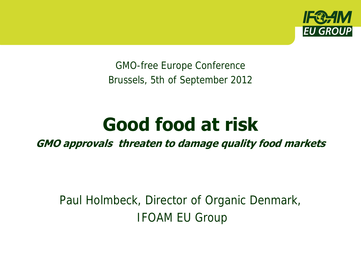

GMO-free Europe Conference Brussels, 5th of September 2012

# **Good food at risk**

**GMO approvals threaten to damage quality food markets** 

Paul Holmbeck, Director of Organic Denmark, IFOAM EU Group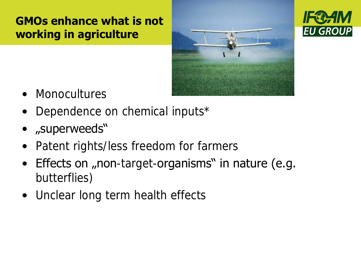#### **GMOs enhance what is not working in agriculture**





- Monocultures
- Dependence on chemical inputs\*
- "superweeds"
- Patent rights/less freedom for farmers
- $\bullet$  Effects on "non-target-organisms" in nature (e.g. butterflies)
- Unclear long term health effects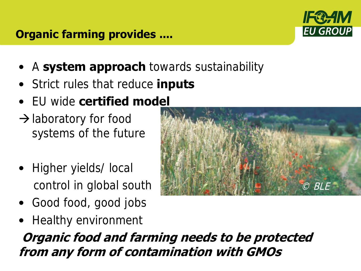#### **Organic farming provides ....**



- A **system approach** towards sustainability
- Strict rules that reduce **inputs**
- EU wide **certified model**
- $\rightarrow$  laboratory for food systems of the future
- Higher yields/local control in global south
- Good food, good jobs
- Healthy environment

**Organic food and farming needs to be protected from any form of contamination with GMOs**

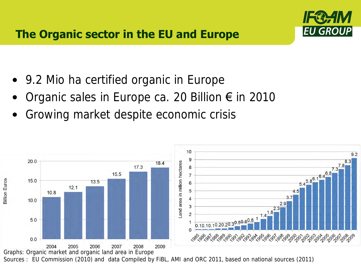

- 9.2 Mio ha certified organic in Europe
- Organic sales in Europe ca. 20 Billion € in 2010
- Growing market despite economic crisis



Graphs: Organic market and organic land area in Europe

Sources : EU Commission (2010) and data Compiled by FiBL, AMI and ORC 2011, based on national sources (2011)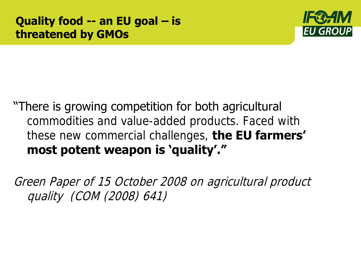

## "There is growing competition for both agricultural commodities and value-added products. Faced with these new commercial challenges, **the EU farmers' most potent weapon is 'quality'."**

Green Paper of 15 October 2008 on agricultural product quality (COM (2008) 641)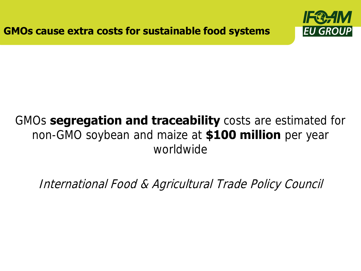

## GMOs **segregation and traceability** costs are estimated for non-GMO soybean and maize at **\$100 million** per year worldwide

International Food & Agricultural Trade Policy Council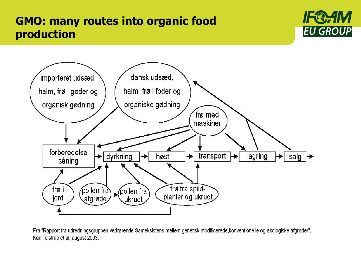#### l<br>c **GMO: many routes into organic food production**





Fra "Rapport fra udredningsgruppen vedrørende Sameksistens mellem genetisk modificerede, konventionelle og økologiske afgrøder". Karl Tolstrup et al, august 2003.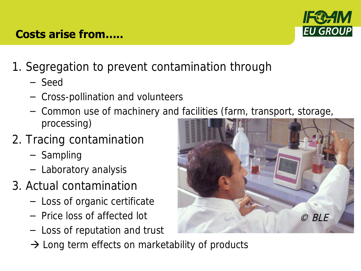# 1. Segregation to prevent contamination through

- Seed
- Cross-pollination and volunteers
- Common use of machinery and facilities (farm, transport, storage, processing)
- 2. Tracing contamination
	- Sampling
	- Laboratory analysis
- 3. Actual contamination
	- Loss of organic certificate
	- Price loss of affected lot
	- Loss of reputation and trust
	- $\rightarrow$  Long term effects on marketability of products





#### **Costs arise from…..**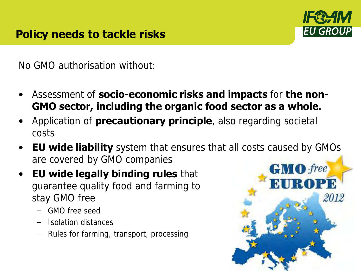

No GMO authorisation without:

- Assessment of **socio-economic risks and impacts** for **the non-GMO sector, including the organic food sector as a whole.**
- Application of **precautionary principle**, also regarding societal costs
- **EU wide liability** system that ensures that all costs caused by GMOs are covered by GMO companies
- **EU wide legally binding rules** that guarantee quality food and farming to stay GMO free
	- GMO free seed
	- Isolation distances
	- Rules for farming, transport, processing

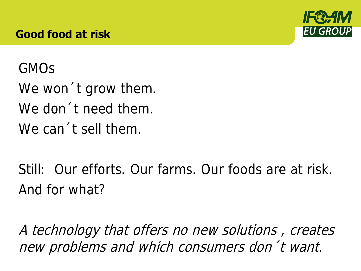#### **Good food at risk**



#### GMOs

We won't grow them. We don´t need them. We can 't sell them.

Still: Our efforts. Our farms. Our foods are at risk. And for what?

A technology that offers no new solutions , creates new problems and which consumers don´t want.